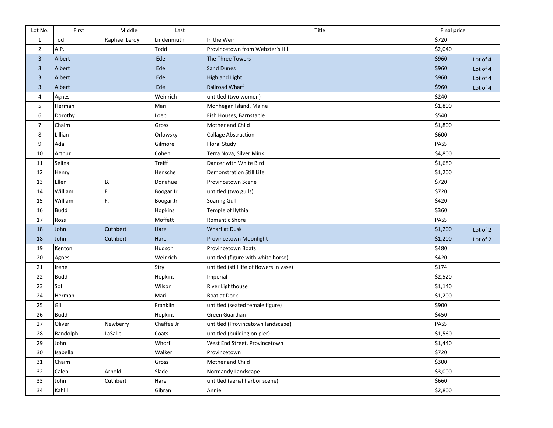| Lot No.        | First       | Middle        | Last       | Title                                    | Final price |          |
|----------------|-------------|---------------|------------|------------------------------------------|-------------|----------|
| $\mathbf{1}$   | Tod         | Raphael Leroy | Lindenmuth | In the Weir                              | \$720       |          |
| $\overline{2}$ | A.P.        |               | Todd       | Provincetown from Webster's Hill         | \$2,040     |          |
| 3              | Albert      |               | Edel       | The Three Towers                         | \$960       | Lot of 4 |
| 3              | Albert      |               | Edel       | <b>Sand Dunes</b>                        | \$960       | Lot of 4 |
| 3              | Albert      |               | Edel       | <b>Highland Light</b>                    | \$960       | Lot of 4 |
| 3              | Albert      |               | Edel       | Railroad Wharf                           | \$960       | Lot of 4 |
| 4              | Agnes       |               | Weinrich   | untitled (two women)                     | \$240       |          |
| 5              | Herman      |               | Maril      | Monhegan Island, Maine                   | \$1,800     |          |
| 6              | Dorothy     |               | Loeb       | Fish Houses, Barnstable                  | \$540       |          |
| $\overline{7}$ | Chaim       |               | Gross      | Mother and Child                         | \$1,800     |          |
| 8              | Lillian     |               | Orlowsky   | <b>Collage Abstraction</b>               | \$600       |          |
| 9              | Ada         |               | Gilmore    | <b>Floral Study</b>                      | PASS        |          |
| 10             | Arthur      |               | Cohen      | Terra Nova, Silver Mink                  | \$4,800     |          |
| 11             | Selina      |               | Treiff     | Dancer with White Bird                   | \$1,680     |          |
| 12             | Henry       |               | Hensche    | <b>Demonstration Still Life</b>          | \$1,200     |          |
| 13             | Ellen       | В.            | Donahue    | Provincetown Scene                       | \$720       |          |
| 14             | William     | F.            | Boogar Jr  | untitled (two gulls)                     | \$720       |          |
| 15             | William     | F.            | Boogar Jr  | Soaring Gull                             | \$420       |          |
| 16             | <b>Budd</b> |               | Hopkins    | Temple of Ilythia                        | \$360       |          |
| 17             | Ross        |               | Moffett    | Romantic Shore                           | PASS        |          |
| 18             | John        | Cuthbert      | Hare       | <b>Wharf at Dusk</b>                     | \$1,200     | Lot of 2 |
| 18             | John        | Cuthbert      | Hare       | Provincetown Moonlight                   | \$1,200     | Lot of 2 |
| 19             | Kenton      |               | Hudson     | Provincetown Boats                       | \$480       |          |
| 20             | Agnes       |               | Weinrich   | untitled (figure with white horse)       | \$420       |          |
| 21             | Irene       |               | Stry       | untitled (still life of flowers in vase) | \$174       |          |
| 22             | <b>Budd</b> |               | Hopkins    | Imperial                                 | \$2,520     |          |
| 23             | Sol         |               | Wilson     | River Lighthouse                         | \$1,140     |          |
| 24             | Herman      |               | Maril      | <b>Boat at Dock</b>                      | \$1,200     |          |
| 25             | Gil         |               | Franklin   | untitled (seated female figure)          | \$900       |          |
| 26             | <b>Budd</b> |               | Hopkins    | Green Guardian                           | \$450       |          |
| 27             | Oliver      | Newberry      | Chaffee Jr | untitled (Provincetown landscape)        | PASS        |          |
| 28             | Randolph    | LaSalle       | Coats      | untitled (building on pier)              | \$1,560     |          |
| 29             | John        |               | Whorf      | West End Street, Provincetown            | \$1,440     |          |
| 30             | Isabella    |               | Walker     | Provincetown                             | \$720       |          |
| 31             | Chaim       |               | Gross      | Mother and Child                         | \$300       |          |
| 32             | Caleb       | Arnold        | Slade      | Normandy Landscape                       | \$3,000     |          |
| 33             | John        | Cuthbert      | Hare       | untitled (aerial harbor scene)           | \$660       |          |
| 34             | Kahlil      |               | Gibran     | Annie                                    | \$2,800     |          |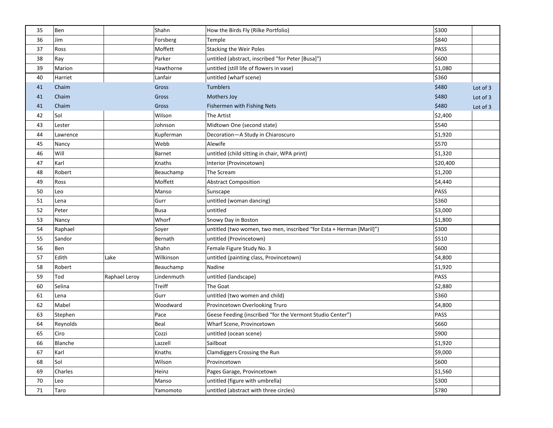| 35 | Ben      |               | Shahn         | How the Birds Fly (Rilke Portfolio)                                  | \$300    |          |
|----|----------|---------------|---------------|----------------------------------------------------------------------|----------|----------|
| 36 | Jim      |               | Forsberg      | Temple                                                               | \$840    |          |
| 37 | Ross     |               | Moffett       | <b>Stacking the Weir Poles</b>                                       | PASS     |          |
| 38 | Ray      |               | Parker        | untitled (abstract, inscribed "for Peter [Busa]")                    | \$600    |          |
| 39 | Marion   |               | Hawthorne     | untitled (still life of flowers in vase)                             | \$1,080  |          |
| 40 | Harriet  |               | Lanfair       | untitled (wharf scene)                                               | \$360    |          |
| 41 | Chaim    |               | Gross         | <b>Tumblers</b>                                                      | \$480    | Lot of 3 |
| 41 | Chaim    |               | Gross         | Mothers Joy                                                          | \$480    | Lot of 3 |
| 41 | Chaim    |               | Gross         | Fishermen with Fishing Nets                                          | \$480    | Lot of 3 |
| 42 | Sol      |               | Wilson        | The Artist                                                           | \$2,400  |          |
| 43 | Lester   |               | Johnson       | Midtown One (second state)                                           | \$540    |          |
| 44 | Lawrence |               | Kupferman     | Decoration-A Study in Chiaroscuro                                    | \$1,920  |          |
| 45 | Nancy    |               | Webb          | Alewife                                                              | \$570    |          |
| 46 | Will     |               | Barnet        | untitled (child sitting in chair, WPA print)                         | \$1,320  |          |
| 47 | Karl     |               | Knaths        | Interior (Provincetown)                                              | \$20,400 |          |
| 48 | Robert   |               | Beauchamp     | The Scream                                                           | \$1,200  |          |
| 49 | Ross     |               | Moffett       | <b>Abstract Composition</b>                                          | \$4,440  |          |
| 50 | Leo      |               | Manso         | Sunscape                                                             | PASS     |          |
| 51 | Lena     |               | Gurr          | untitled (woman dancing)                                             | \$360    |          |
| 52 | Peter    |               | <b>Busa</b>   | untitled                                                             | \$3,000  |          |
| 53 | Nancy    |               | Whorf         | Snowy Day in Boston                                                  | \$1,800  |          |
| 54 | Raphael  |               | Soyer         | untitled (two women, two men, inscribed "for Esta + Herman [Maril]") | \$300    |          |
| 55 | Sandor   |               | Bernath       | untitled (Provincetown)                                              | \$510    |          |
| 56 | Ben      |               | Shahn         | Female Figure Study No. 3                                            | \$600    |          |
| 57 | Edith    | Lake          | Wilkinson     | untitled (painting class, Provincetown)                              | \$4,800  |          |
| 58 | Robert   |               | Beauchamp     | Nadine                                                               | \$1,920  |          |
| 59 | Tod      | Raphael Leroy | Lindenmuth    | untitled (landscape)                                                 | PASS     |          |
| 60 | Selina   |               | <b>Treiff</b> | The Goat                                                             | \$2,880  |          |
| 61 | Lena     |               | Gurr          | untitled (two women and child)                                       | \$360    |          |
| 62 | Mabel    |               | Woodward      | Provincetown Overlooking Truro                                       | \$4,800  |          |
| 63 | Stephen  |               | Pace          | Geese Feeding (inscribed "for the Vermont Studio Center")            | PASS     |          |
| 64 | Reynolds |               | Beal          | Wharf Scene, Provincetown                                            | \$660    |          |
| 65 | Ciro     |               | Cozzi         | untitled (ocean scene)                                               | \$900    |          |
| 66 | Blanche  |               | Lazzell       | Sailboat                                                             | \$1,920  |          |
| 67 | Karl     |               | Knaths        | Clamdiggers Crossing the Run                                         | \$9,000  |          |
| 68 | Sol      |               | Wilson        | Provincetown                                                         | \$600    |          |
| 69 | Charles  |               | Heinz         | Pages Garage, Provincetown                                           | \$1,560  |          |
| 70 | Leo      |               | Manso         | untitled (figure with umbrella)                                      | \$300    |          |
| 71 | Taro     |               | Yamomoto      | untitled (abstract with three circles)                               | \$780    |          |